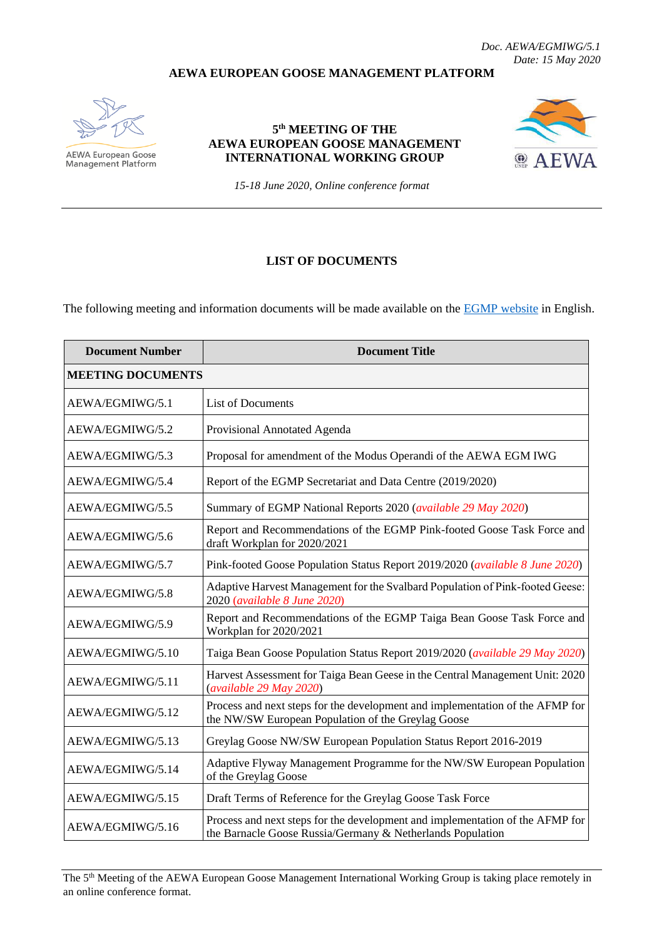*Doc. AEWA/EGMIWG/5.1 Date: 15 May 2020*

## **AEWA EUROPEAN GOOSE MANAGEMENT PLATFORM**



**AEWA European Goose**<br>Management Platform

## **5 th MEETING OF THE AEWA EUROPEAN GOOSE MANAGEMENT INTERNATIONAL WORKING GROUP**



*15-18 June 2020, Online conference format*

## **LIST OF DOCUMENTS**

The following meeting and information documents will be made available on the **EGMP** website in English.

| <b>Document Number</b>   | <b>Document Title</b>                                                                                                                       |  |
|--------------------------|---------------------------------------------------------------------------------------------------------------------------------------------|--|
| <b>MEETING DOCUMENTS</b> |                                                                                                                                             |  |
| AEWA/EGMIWG/5.1          | <b>List of Documents</b>                                                                                                                    |  |
| AEWA/EGMIWG/5.2          | Provisional Annotated Agenda                                                                                                                |  |
| AEWA/EGMIWG/5.3          | Proposal for amendment of the Modus Operandi of the AEWA EGM IWG                                                                            |  |
| AEWA/EGMIWG/5.4          | Report of the EGMP Secretariat and Data Centre (2019/2020)                                                                                  |  |
| AEWA/EGMIWG/5.5          | Summary of EGMP National Reports 2020 (available 29 May 2020)                                                                               |  |
| AEWA/EGMIWG/5.6          | Report and Recommendations of the EGMP Pink-footed Goose Task Force and<br>draft Workplan for 2020/2021                                     |  |
| AEWA/EGMIWG/5.7          | Pink-footed Goose Population Status Report 2019/2020 (available 8 June 2020)                                                                |  |
| AEWA/EGMIWG/5.8          | Adaptive Harvest Management for the Svalbard Population of Pink-footed Geese:<br>2020 (available 8 June 2020)                               |  |
| AEWA/EGMIWG/5.9          | Report and Recommendations of the EGMP Taiga Bean Goose Task Force and<br>Workplan for 2020/2021                                            |  |
| AEWA/EGMIWG/5.10         | Taiga Bean Goose Population Status Report 2019/2020 (available 29 May 2020)                                                                 |  |
| AEWA/EGMIWG/5.11         | Harvest Assessment for Taiga Bean Geese in the Central Management Unit: 2020<br>(available 29 May 2020)                                     |  |
| AEWA/EGMIWG/5.12         | Process and next steps for the development and implementation of the AFMP for<br>the NW/SW European Population of the Greylag Goose         |  |
| AEWA/EGMIWG/5.13         | Greylag Goose NW/SW European Population Status Report 2016-2019                                                                             |  |
| AEWA/EGMIWG/5.14         | Adaptive Flyway Management Programme for the NW/SW European Population<br>of the Greylag Goose                                              |  |
| AEWA/EGMIWG/5.15         | Draft Terms of Reference for the Greylag Goose Task Force                                                                                   |  |
| AEWA/EGMIWG/5.16         | Process and next steps for the development and implementation of the AFMP for<br>the Barnacle Goose Russia/Germany & Netherlands Population |  |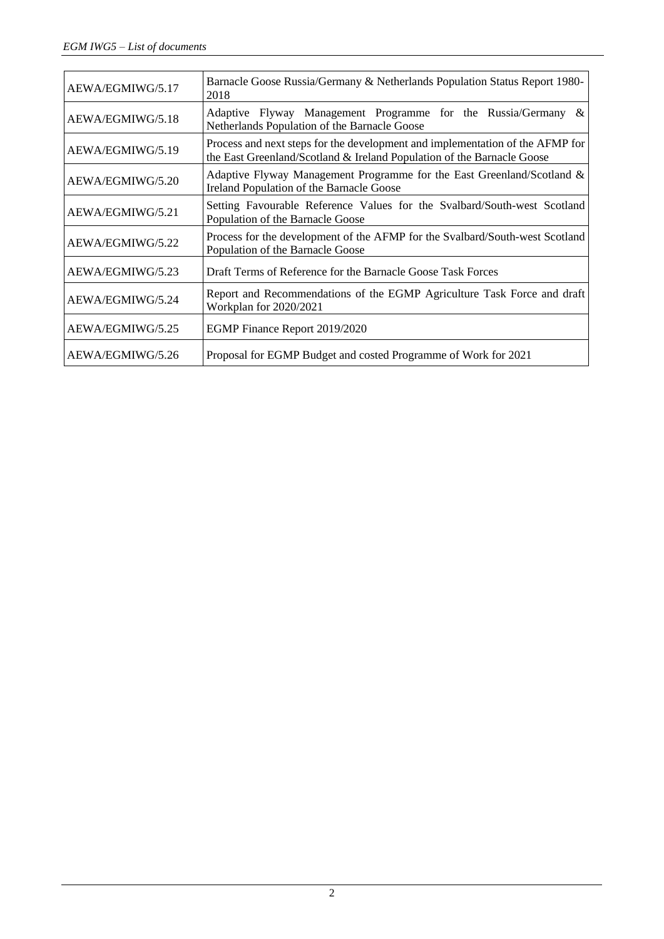| AEWA/EGMIWG/5.17 | Barnacle Goose Russia/Germany & Netherlands Population Status Report 1980-<br>2018                                                                      |
|------------------|---------------------------------------------------------------------------------------------------------------------------------------------------------|
| AEWA/EGMIWG/5.18 | Adaptive Flyway Management Programme for the Russia/Germany &<br>Netherlands Population of the Barnacle Goose                                           |
| AEWA/EGMIWG/5.19 | Process and next steps for the development and implementation of the AFMP for<br>the East Greenland/Scotland & Ireland Population of the Barnacle Goose |
| AEWA/EGMIWG/5.20 | Adaptive Flyway Management Programme for the East Greenland/Scotland $\&$<br>Ireland Population of the Barnacle Goose                                   |
| AEWA/EGMIWG/5.21 | Setting Favourable Reference Values for the Svalbard/South-west Scotland<br>Population of the Barnacle Goose                                            |
| AEWA/EGMIWG/5.22 | Process for the development of the AFMP for the Svalbard/South-west Scotland<br>Population of the Barnacle Goose                                        |
| AEWA/EGMIWG/5.23 | Draft Terms of Reference for the Barnacle Goose Task Forces                                                                                             |
| AEWA/EGMIWG/5.24 | Report and Recommendations of the EGMP Agriculture Task Force and draft<br>Workplan for 2020/2021                                                       |
| AEWA/EGMIWG/5.25 | EGMP Finance Report 2019/2020                                                                                                                           |
| AEWA/EGMIWG/5.26 | Proposal for EGMP Budget and costed Programme of Work for 2021                                                                                          |